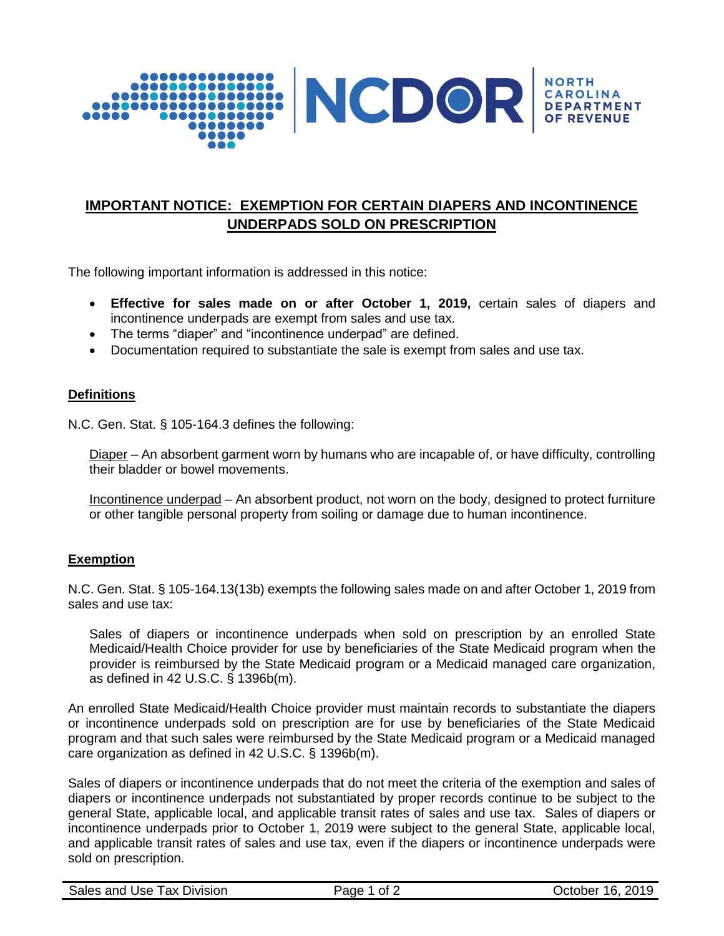

## **IMPORTANT NOTICE: EXEMPTION FOR CERTAIN DIAPERS AND INCONTINENCE UNDERPADS SOLD ON PRESCRIPTION**

The following important information is addressed in this notice:

- **Effective for sales made on or after October 1, 2019,** certain sales of diapers and incontinence underpads are exempt from sales and use tax.
- The terms "diaper" and "incontinence underpad" are defined.
- Documentation required to substantiate the sale is exempt from sales and use tax.

## **Definitions**

N.C. Gen. Stat. § 105-164.3 defines the following:

Diaper – An absorbent garment worn by humans who are incapable of, or have difficulty, controlling their bladder or bowel movements.

Incontinence underpad – An absorbent product, not worn on the body, designed to protect furniture or other tangible personal property from soiling or damage due to human incontinence.

## **Exemption**

N.C. Gen. Stat. § 105-164.13(13b) exempts the following sales made on and after October 1, 2019 from sales and use tax:

Sales of diapers or incontinence underpads when sold on prescription by an enrolled State Medicaid/Health Choice provider for use by beneficiaries of the State Medicaid program when the provider is reimbursed by the State Medicaid program or a Medicaid managed care organization, as defined in 42 U.S.C. § 1396b(m).

An enrolled State Medicaid/Health Choice provider must maintain records to substantiate the diapers or incontinence underpads sold on prescription are for use by beneficiaries of the State Medicaid program and that such sales were reimbursed by the State Medicaid program or a Medicaid managed care organization as defined in 42 U.S.C. § 1396b(m).

Sales of diapers or incontinence underpads that do not meet the criteria of the exemption and sales of diapers or incontinence underpads not substantiated by proper records continue to be subject to the general State, applicable local, and applicable transit rates of sales and use tax. Sales of diapers or incontinence underpads prior to October 1, 2019 were subject to the general State, applicable local, and applicable transit rates of sales and use tax, even if the diapers or incontinence underpads were sold on prescription.

| Sales and Use Tax Division |  |  |  |
|----------------------------|--|--|--|
|----------------------------|--|--|--|